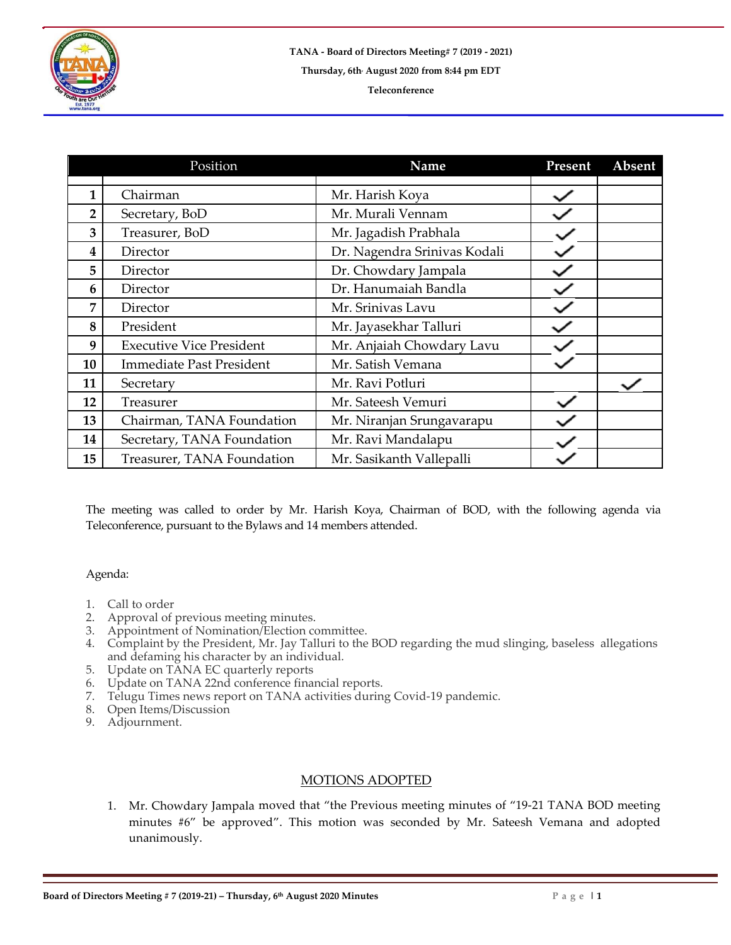

|                | Position                        | Name                         | Present | Absent |
|----------------|---------------------------------|------------------------------|---------|--------|
| 1              | Chairman                        | Mr. Harish Koya              |         |        |
| $\overline{2}$ | Secretary, BoD                  | Mr. Murali Vennam            |         |        |
| 3              | Treasurer, BoD                  | Mr. Jagadish Prabhala        |         |        |
| 4              | Director                        | Dr. Nagendra Srinivas Kodali |         |        |
| 5              | Director                        | Dr. Chowdary Jampala         |         |        |
| 6              | Director                        | Dr. Hanumaiah Bandla         |         |        |
| 7              | Director                        | Mr. Srinivas Lavu            |         |        |
| 8              | President                       | Mr. Jayasekhar Talluri       |         |        |
| 9              | <b>Executive Vice President</b> | Mr. Anjaiah Chowdary Lavu    |         |        |
| 10             | <b>Immediate Past President</b> | Mr. Satish Vemana            |         |        |
| 11             | Secretary                       | Mr. Ravi Potluri             |         |        |
| 12             | Treasurer                       | Mr. Sateesh Vemuri           |         |        |
| 13             | Chairman, TANA Foundation       | Mr. Niranjan Srungavarapu    |         |        |
| 14             | Secretary, TANA Foundation      | Mr. Ravi Mandalapu           |         |        |
| 15             | Treasurer, TANA Foundation      | Mr. Sasikanth Vallepalli     |         |        |

The meeting was called to order by Mr. Harish Koya, Chairman of BOD, with the following agenda via Teleconference, pursuant to the Bylaws and 14 members attended.

## Agenda:

- 1. Call to order<br>2. Approval of
- 2. Approval of previous meeting minutes.
- 3. Appointment of Nomination/Election committee.
- 4. Complaint by the President, Mr. Jay Talluri to the BOD regarding the mud slinging, baseless allegations and defaming his character by an individual.
- 5. Update on TANA EC quarterly reports
- 6. Update on TANA 22nd conference financial reports.
- 7. Telugu Times news report on TANA activities during Covid-19 pandemic.
- 8. Open Items/Discussion
- 9. Adjournment.

## MOTIONS ADOPTED

1. Mr. Chowdary Jampala moved that "the Previous meeting minutes of "19-21 TANA BOD meeting minutes #6" be approved". This motion was seconded by Mr. Sateesh Vemana and adopted unanimously.